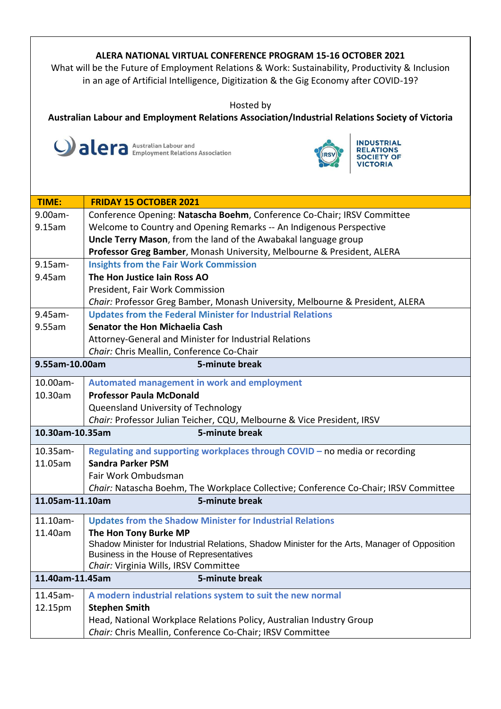## **ALERA NATIONAL VIRTUAL CONFERENCE PROGRAM 15-16 OCTOBER 2021**

What will be the Future of Employment Relations & Work: Sustainability, Productivity & Inclusion in an age of Artificial Intelligence, Digitization & the Gig Economy after COVID-19?

Hosted by

**Australian Labour and Employment Relations Association/Industrial Relations Society of Victoria**





| TIME:                             | <b>FRIDAY 15 OCTOBER 2021</b>                                                                 |  |
|-----------------------------------|-----------------------------------------------------------------------------------------------|--|
| 9.00am-                           | Conference Opening: Natascha Boehm, Conference Co-Chair; IRSV Committee                       |  |
| 9.15am                            | Welcome to Country and Opening Remarks -- An Indigenous Perspective                           |  |
|                                   | Uncle Terry Mason, from the land of the Awabakal language group                               |  |
|                                   | Professor Greg Bamber, Monash University, Melbourne & President, ALERA                        |  |
| $9.15$ am-                        | <b>Insights from the Fair Work Commission</b>                                                 |  |
| 9.45am                            | The Hon Justice Iain Ross AO                                                                  |  |
|                                   | President, Fair Work Commission                                                               |  |
|                                   | Chair: Professor Greg Bamber, Monash University, Melbourne & President, ALERA                 |  |
| 9.45am-                           | <b>Updates from the Federal Minister for Industrial Relations</b>                             |  |
| 9.55am                            | <b>Senator the Hon Michaelia Cash</b>                                                         |  |
|                                   | Attorney-General and Minister for Industrial Relations                                        |  |
|                                   | Chair: Chris Meallin, Conference Co-Chair                                                     |  |
| 9.55am-10.00am                    | 5-minute break                                                                                |  |
| 10.00am-                          | Automated management in work and employment                                                   |  |
| 10.30am                           | <b>Professor Paula McDonald</b>                                                               |  |
|                                   | Queensland University of Technology                                                           |  |
|                                   | Chair: Professor Julian Teicher, CQU, Melbourne & Vice President, IRSV                        |  |
| 10.30am-10.35am<br>5-minute break |                                                                                               |  |
| 10.35am-                          | Regulating and supporting workplaces through COVID - no media or recording                    |  |
| 11.05am                           | <b>Sandra Parker PSM</b>                                                                      |  |
|                                   | Fair Work Ombudsman                                                                           |  |
|                                   | Chair: Natascha Boehm, The Workplace Collective; Conference Co-Chair; IRSV Committee          |  |
| 11.05am-11.10am                   | 5-minute break                                                                                |  |
| 11.10am-                          | <b>Updates from the Shadow Minister for Industrial Relations</b>                              |  |
| 11.40am                           | The Hon Tony Burke MP                                                                         |  |
|                                   | Shadow Minister for Industrial Relations, Shadow Minister for the Arts, Manager of Opposition |  |
|                                   | Business in the House of Representatives                                                      |  |
|                                   | Chair: Virginia Wills, IRSV Committee                                                         |  |
| 5-minute break<br>11.40am-11.45am |                                                                                               |  |
| 11.45am-                          | A modern industrial relations system to suit the new normal                                   |  |
| 12.15pm                           | <b>Stephen Smith</b>                                                                          |  |
|                                   | Head, National Workplace Relations Policy, Australian Industry Group                          |  |
|                                   | Chair: Chris Meallin, Conference Co-Chair; IRSV Committee                                     |  |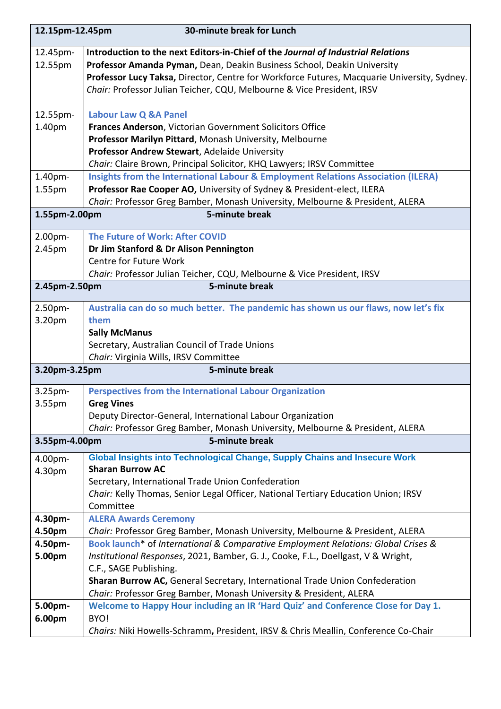| 12.15pm-12.45pm                 | 30-minute break for Lunch                                                                                                                |  |  |
|---------------------------------|------------------------------------------------------------------------------------------------------------------------------------------|--|--|
| 12.45pm-                        | Introduction to the next Editors-in-Chief of the Journal of Industrial Relations                                                         |  |  |
| 12.55pm                         | Professor Amanda Pyman, Dean, Deakin Business School, Deakin University                                                                  |  |  |
|                                 | Professor Lucy Taksa, Director, Centre for Workforce Futures, Macquarie University, Sydney.                                              |  |  |
|                                 | Chair: Professor Julian Teicher, CQU, Melbourne & Vice President, IRSV                                                                   |  |  |
| 12.55pm-                        | <b>Labour Law Q &amp;A Panel</b>                                                                                                         |  |  |
| 1.40pm                          | Frances Anderson, Victorian Government Solicitors Office                                                                                 |  |  |
|                                 | Professor Marilyn Pittard, Monash University, Melbourne                                                                                  |  |  |
|                                 | Professor Andrew Stewart, Adelaide University                                                                                            |  |  |
|                                 | Chair: Claire Brown, Principal Solicitor, KHQ Lawyers; IRSV Committee                                                                    |  |  |
| 1.40pm-                         | Insights from the International Labour & Employment Relations Association (ILERA)                                                        |  |  |
| 1.55pm                          | Professor Rae Cooper AO, University of Sydney & President-elect, ILERA                                                                   |  |  |
|                                 | Chair: Professor Greg Bamber, Monash University, Melbourne & President, ALERA                                                            |  |  |
| 5-minute break<br>1.55pm-2.00pm |                                                                                                                                          |  |  |
| 2.00pm-                         | The Future of Work: After COVID                                                                                                          |  |  |
| 2.45pm                          | Dr Jim Stanford & Dr Alison Pennington                                                                                                   |  |  |
|                                 | Centre for Future Work                                                                                                                   |  |  |
|                                 | Chair: Professor Julian Teicher, CQU, Melbourne & Vice President, IRSV                                                                   |  |  |
|                                 | 2.45pm-2.50pm<br>5-minute break                                                                                                          |  |  |
| 2.50pm-                         | Australia can do so much better. The pandemic has shown us our flaws, now let's fix                                                      |  |  |
| 3.20pm                          | them                                                                                                                                     |  |  |
|                                 | <b>Sally McManus</b>                                                                                                                     |  |  |
|                                 | Secretary, Australian Council of Trade Unions                                                                                            |  |  |
|                                 | Chair: Virginia Wills, IRSV Committee                                                                                                    |  |  |
| 3.20pm-3.25pm                   | 5-minute break                                                                                                                           |  |  |
| 3.25 <sub>pm</sub>              | <b>Perspectives from the International Labour Organization</b>                                                                           |  |  |
| 3.55 <sub>pm</sub>              | <b>Greg Vines</b>                                                                                                                        |  |  |
|                                 | Deputy Director-General, International Labour Organization                                                                               |  |  |
|                                 | Chair: Professor Greg Bamber, Monash University, Melbourne & President, ALERA                                                            |  |  |
| 3.55pm-4.00pm                   | 5-minute break                                                                                                                           |  |  |
| 4.00pm-                         | Global Insights into Technological Change, Supply Chains and Insecure Work<br><b>Sharan Burrow AC</b>                                    |  |  |
| 4.30pm                          |                                                                                                                                          |  |  |
|                                 | Secretary, International Trade Union Confederation<br>Chair: Kelly Thomas, Senior Legal Officer, National Tertiary Education Union; IRSV |  |  |
|                                 | Committee                                                                                                                                |  |  |
| 4.30pm-                         | <b>ALERA Awards Ceremony</b>                                                                                                             |  |  |
| 4.50pm                          | Chair: Professor Greg Bamber, Monash University, Melbourne & President, ALERA                                                            |  |  |
| 4.50pm-                         | Book launch <sup>*</sup> of International & Comparative Employment Relations: Global Crises &                                            |  |  |
| 5.00pm                          | Institutional Responses, 2021, Bamber, G. J., Cooke, F.L., Doellgast, V & Wright,                                                        |  |  |
|                                 | C.F., SAGE Publishing.                                                                                                                   |  |  |
|                                 | Sharan Burrow AC, General Secretary, International Trade Union Confederation                                                             |  |  |
|                                 | Chair: Professor Greg Bamber, Monash University & President, ALERA                                                                       |  |  |
| 5.00pm-                         | Welcome to Happy Hour including an IR 'Hard Quiz' and Conference Close for Day 1.                                                        |  |  |
| 6.00pm                          | BYO!                                                                                                                                     |  |  |
|                                 | Chairs: Niki Howells-Schramm, President, IRSV & Chris Meallin, Conference Co-Chair                                                       |  |  |